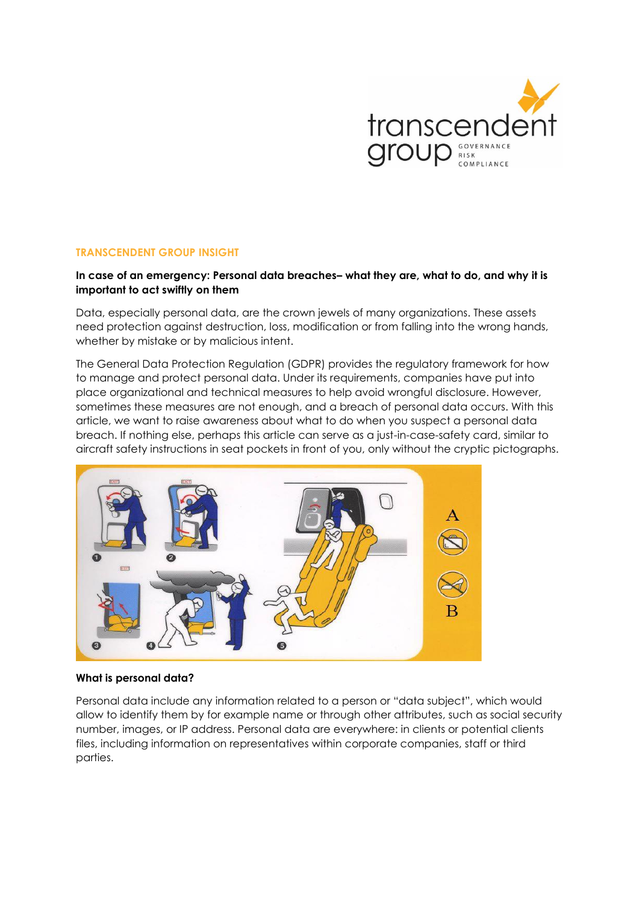

## **TRANSCENDENT GROUP INSIGHT**

# **In case of an emergency: Personal data breaches– what they are, what to do, and why it is important to act swiftly on them**

Data, especially personal data, are the crown jewels of many organizations. These assets need protection against destruction, loss, modification or from falling into the wrong hands, whether by mistake or by malicious intent.

The General Data Protection Regulation (GDPR) provides the regulatory framework for how to manage and protect personal data. Under its requirements, companies have put into place organizational and technical measures to help avoid wrongful disclosure. However, sometimes these measures are not enough, and a breach of personal data occurs. With this article, we want to raise awareness about what to do when you suspect a personal data breach. If nothing else, perhaps this article can serve as a just-in-case-safety card, similar to aircraft safety instructions in seat pockets in front of you, only without the cryptic pictographs.



### **What is personal data?**

Personal data include any information related to a person or "data subject", which would allow to identify them by for example name or through other attributes, such as social security number, images, or IP address. Personal data are everywhere: in clients or potential clients files, including information on representatives within corporate companies, staff or third parties.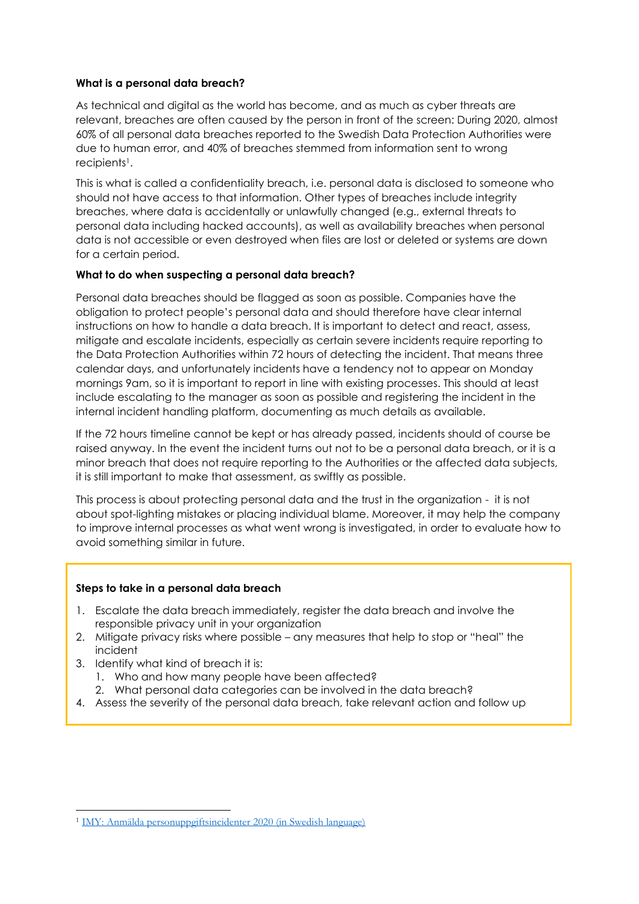# **What is a personal data breach?**

As technical and digital as the world has become, and as much as cyber threats are relevant, breaches are often caused by the person in front of the screen: During 2020, almost 60% of all personal data breaches reported to the Swedish Data Protection Authorities were due to human error, and 40% of breaches stemmed from information sent to wrong recipients1.

This is what is called a confidentiality breach, i.e. personal data is disclosed to someone who should not have access to that information. Other types of breaches include integrity breaches, where data is accidentally or unlawfully changed (e.g., external threats to personal data including hacked accounts), as well as availability breaches when personal data is not accessible or even destroyed when files are lost or deleted or systems are down for a certain period.

## **What to do when suspecting a personal data breach?**

Personal data breaches should be flagged as soon as possible. Companies have the obligation to protect people's personal data and should therefore have clear internal instructions on how to handle a data breach. It is important to detect and react, assess, mitigate and escalate incidents, especially as certain severe incidents require reporting to the Data Protection Authorities within 72 hours of detecting the incident. That means three calendar days, and unfortunately incidents have a tendency not to appear on Monday mornings 9am, so it is important to report in line with existing processes. This should at least include escalating to the manager as soon as possible and registering the incident in the internal incident handling platform, documenting as much details as available.

If the 72 hours timeline cannot be kept or has already passed, incidents should of course be raised anyway. In the event the incident turns out not to be a personal data breach, or it is a minor breach that does not require reporting to the Authorities or the affected data subjects, it is still important to make that assessment, as swiftly as possible.

This process is about protecting personal data and the trust in the organization - it is not about spot-lighting mistakes or placing individual blame. Moreover, it may help the company to improve internal processes as what went wrong is investigated, in order to evaluate how to avoid something similar in future.

### **Steps to take in a personal data breach**

- 1. Escalate the data breach immediately, register the data breach and involve the responsible privacy unit in your organization
- 2. Mitigate privacy risks where possible any measures that help to stop or "heal" the incident
- 3. Identify what kind of breach it is:
	- 1. Who and how many people have been affected?
	- 2. What personal data categories can be involved in the data breach?
- 4. Assess the severity of the personal data breach, take relevant action and follow up

<sup>1</sup> [IMY: Anmälda personuppgiftsincidenter 2020 \(in Swedish language\)](https://www.imy.se/publikationer/anmalda-personuppgiftsincidenter-2020/)